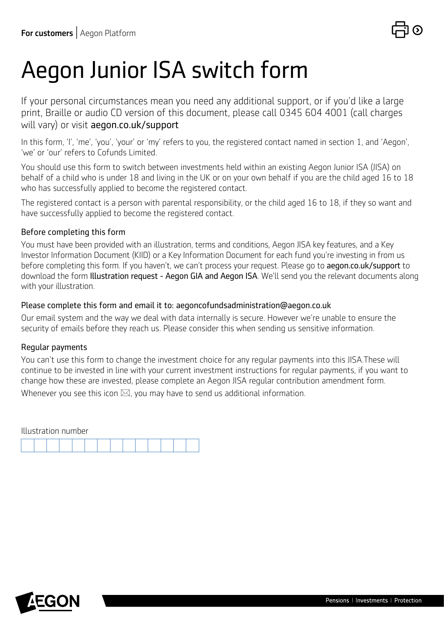# Aegon Junior ISA switch form

If your personal circumstances mean you need any additional support, or if you'd like a large print, Braille or audio CD version of this document, please call 0345 604 4001 (call charges will vary) or visit [aegon.co.uk/support](http://aegon.co.uk/support.html)

In this form, 'I', 'me', 'you', 'your' or 'my' refers to you, the registered contact named in section 1, and 'Aegon', 'we' or 'our' refers to Cofunds Limited.

You should use this form to switch between investments held within an existing Aegon Junior ISA (JISA) on behalf of a child who is under 18 and living in the UK or on your own behalf if you are the child aged 16 to 18 who has successfully applied to become the registered contact.

The registered contact is a person with parental responsibility, or the child aged 16 to 18, if they so want and have successfully applied to become the registered contact.

#### Before completing this form

You must have been provided with an illustration, terms and conditions, Aegon JISA key features, and a Key Investor Information Document (KIID) or a Key Information Document for each fund you're investing in from us before completing this form. If you haven't, we can't process your request. Please go to [aegon.co.uk/support](http://aegon.co.uk/support.html) to download the form Illustration request - Aegon GIA and Aegon ISA. We'll send you the relevant documents along with your illustration.

#### Please complete this form and email it to: aegoncofundsadministration@aegon.co.uk

Our email system and the way we deal with data internally is secure. However we're unable to ensure the security of emails before they reach us. Please consider this when sending us sensitive information.

#### Regular payments

You can't use this form to change the investment choice for any regular payments into this JISA.These will continue to be invested in line with your current investment instructions for regular payments, if you want to change how these are invested, please complete an Aegon JISA regular contribution amendment form. Whenever you see this icon  $\boxtimes$ , you may have to send us additional information.

| Illustration number |  |  |  |  |  |  |  |  |  |  |  |  |  |  |
|---------------------|--|--|--|--|--|--|--|--|--|--|--|--|--|--|
|                     |  |  |  |  |  |  |  |  |  |  |  |  |  |  |

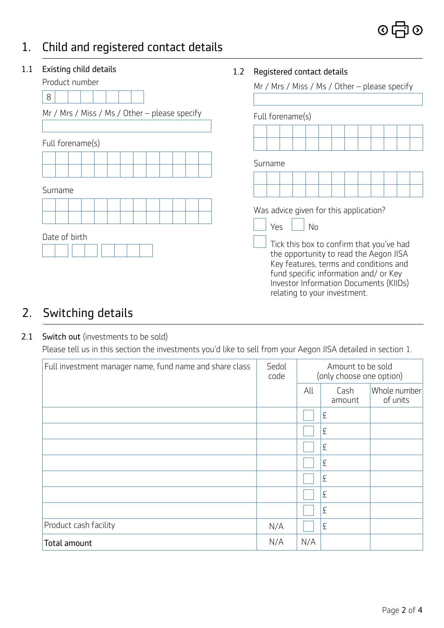## 1. Child and registered contact details

### 1.2 Registered contact details Mr / Mrs / Miss / Ms / Other – please specify Full forename(s) Surname Was advice given for this application?  $Yes$   $|$   $No$  Tick this box to confirm that you've had the opportunity to read the Aegon JISA Key features, terms and conditions and fund specific information and/ or Key Investor Information Documents (KIIDs) relating to your investment. 1.1 Existing child details Product number 8 Mr / Mrs / Miss / Ms / Other – please specify Full forename(s) Surname Date of birth

## 2. Switching details

#### 2.1 Switch out (investments to be sold)

Please tell us in this section the investments you'd like to sell from your Aegon JISA detailed in section 1.

| Full investment manager name, fund name and share class | Sedol<br>code | Amount to be sold<br>(only choose one option) |                |                          |  |
|---------------------------------------------------------|---------------|-----------------------------------------------|----------------|--------------------------|--|
|                                                         |               | All                                           | Cash<br>amount | Whole number<br>of units |  |
|                                                         |               |                                               | £              |                          |  |
|                                                         |               |                                               | £              |                          |  |
|                                                         |               |                                               | £              |                          |  |
|                                                         |               |                                               | £              |                          |  |
|                                                         |               |                                               | £              |                          |  |
|                                                         |               |                                               | £              |                          |  |
|                                                         |               |                                               | £              |                          |  |
| Product cash facility                                   | N/A           |                                               | £              |                          |  |
| Total amount                                            | N/A           | N/A                                           |                |                          |  |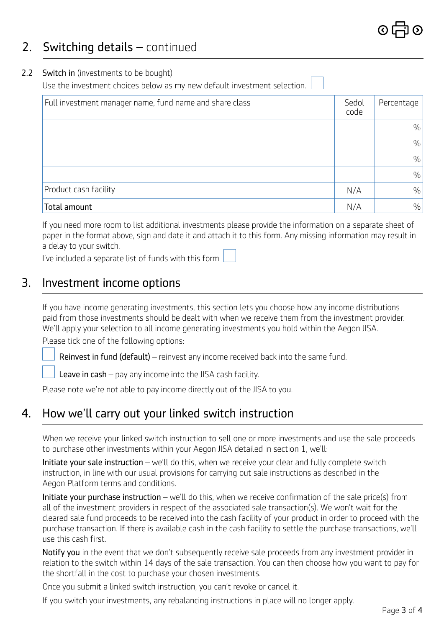## 2. Switching details – continued

#### 2.2 Switch in (investments to be bought)

Use the investment choices below as my new default investment selection.

| Full investment manager name, fund name and share class | Sedol<br>code | Percentage    |
|---------------------------------------------------------|---------------|---------------|
|                                                         |               | $\frac{0}{0}$ |
|                                                         |               | $\frac{0}{0}$ |
|                                                         |               | $\frac{0}{0}$ |
|                                                         |               | $\frac{0}{0}$ |
| Product cash facility                                   | N/A           | $\frac{0}{0}$ |
| Total amount                                            | N/A           | $\frac{0}{0}$ |

If you need more room to list additional investments please provide the information on a separate sheet of paper in the format above, sign and date it and attach it to this form. Any missing information may result in a delay to your switch.

I've included a separate list of funds with this form

## 3. Investment income options

If you have income generating investments, this section lets you choose how any income distributions paid from those investments should be dealt with when we receive them from the investment provider. We'll apply your selection to all income generating investments you hold within the Aegon JISA. Please tick one of the following options:

Reinvest in fund (default) – reinvest any income received back into the same fund.

Leave in cash – pay any income into the JISA cash facility.

Please note we're not able to pay income directly out of the JISA to you.

## 4. How we'll carry out your linked switch instruction

When we receive your linked switch instruction to sell one or more investments and use the sale proceeds to purchase other investments within your Aegon JISA detailed in section 1, we'll:

Initiate your sale instruction – we'll do this, when we receive your clear and fully complete switch instruction, in line with our usual provisions for carrying out sale instructions as described in the Aegon Platform terms and conditions.

Initiate your purchase instruction – we'll do this, when we receive confirmation of the sale price(s) from all of the investment providers in respect of the associated sale transaction(s). We won't wait for the cleared sale fund proceeds to be received into the cash facility of your product in order to proceed with the purchase transaction. If there is available cash in the cash facility to settle the purchase transactions, we'll use this cash first.

Notify you in the event that we don't subsequently receive sale proceeds from any investment provider in relation to the switch within 14 days of the sale transaction. You can then choose how you want to pay for the shortfall in the cost to purchase your chosen investments.

Once you submit a linked switch instruction, you can't revoke or cancel it.

If you switch your investments, any rebalancing instructions in place will no longer apply.